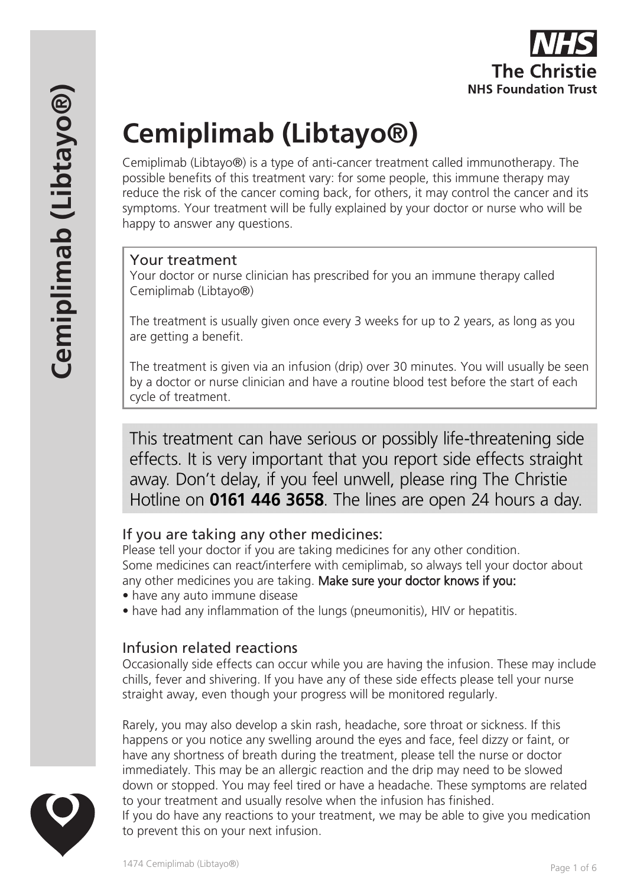# **Cemiplimab (Libtayo®)**

Cemiplimab (Libtayo®) is a type of anti-cancer treatment called immunotherapy. The possible benefits of this treatment vary: for some people, this immune therapy may reduce the risk of the cancer coming back, for others, it may control the cancer and its symptoms. Your treatment will be fully explained by your doctor or nurse who will be happy to answer any questions.

#### Your treatment

Your doctor or nurse clinician has prescribed for you an immune therapy called Cemiplimab (Libtayo®)

The treatment is usually given once every 3 weeks for up to 2 years, as long as you are getting a benefit.

The treatment is given via an infusion (drip) over 30 minutes. You will usually be seen by a doctor or nurse clinician and have a routine blood test before the start of each cycle of treatment.

This treatment can have serious or possibly life-threatening side effects. It is very important that you report side effects straight away. Don't delay, if you feel unwell, please ring The Christie Hotline on **0161 446 3658**. The lines are open 24 hours a day.

## If you are taking any other medicines:

Please tell your doctor if you are taking medicines for any other condition. Some medicines can react/interfere with cemiplimab, so always tell your doctor about any other medicines you are taking. Make sure your doctor knows if you:

- have any auto immune disease
- have had any inflammation of the lungs (pneumonitis), HIV or hepatitis.

# Infusion related reactions

Occasionally side effects can occur while you are having the infusion. These may include chills, fever and shivering. If you have any of these side effects please tell your nurse straight away, even though your progress will be monitored regularly.

Rarely, you may also develop a skin rash, headache, sore throat or sickness. If this happens or you notice any swelling around the eyes and face, feel dizzy or faint, or have any shortness of breath during the treatment, please tell the nurse or doctor immediately. This may be an allergic reaction and the drip may need to be slowed down or stopped. You may feel tired or have a headache. These symptoms are related to your treatment and usually resolve when the infusion has finished. If you do have any reactions to your treatment, we may be able to give you medication to prevent this on your next infusion.

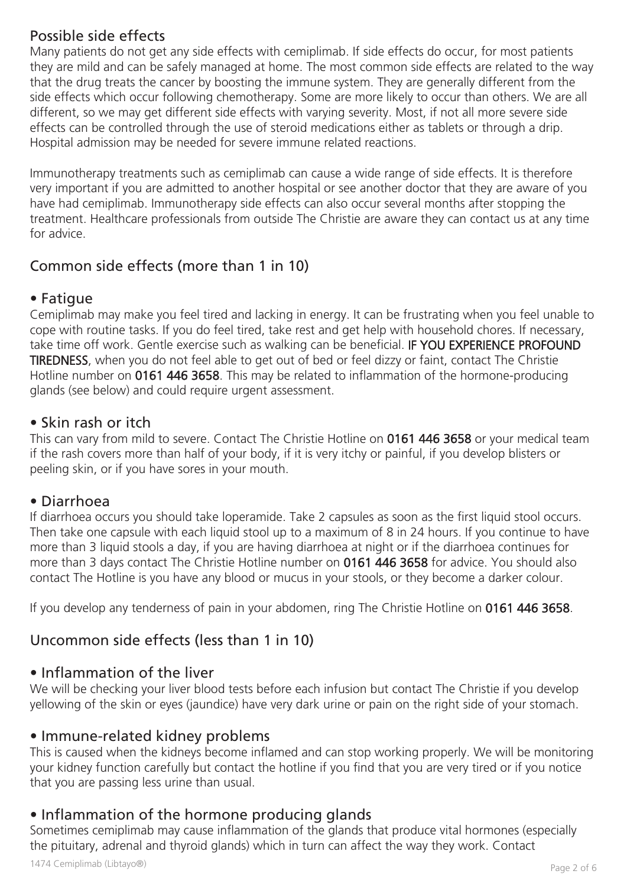## Possible side effects

Many patients do not get any side effects with cemiplimab. If side effects do occur, for most patients they are mild and can be safely managed at home. The most common side effects are related to the way that the drug treats the cancer by boosting the immune system. They are generally different from the side effects which occur following chemotherapy. Some are more likely to occur than others. We are all different, so we may get different side effects with varying severity. Most, if not all more severe side effects can be controlled through the use of steroid medications either as tablets or through a drip. Hospital admission may be needed for severe immune related reactions.

Immunotherapy treatments such as cemiplimab can cause a wide range of side effects. It is therefore very important if you are admitted to another hospital or see another doctor that they are aware of you have had cemiplimab. Immunotherapy side effects can also occur several months after stopping the treatment. Healthcare professionals from outside The Christie are aware they can contact us at any time for advice.

# Common side effects (more than 1 in 10)

#### • Fatigue

Cemiplimab may make you feel tired and lacking in energy. It can be frustrating when you feel unable to cope with routine tasks. If you do feel tired, take rest and get help with household chores. If necessary, take time off work. Gentle exercise such as walking can be beneficial. IF YOU EXPERIENCE PROFOUND TIREDNESS, when you do not feel able to get out of bed or feel dizzy or faint, contact The Christie Hotline number on 0161 446 3658. This may be related to inflammation of the hormone-producing glands (see below) and could require urgent assessment.

#### • Skin rash or itch

This can vary from mild to severe. Contact The Christie Hotline on 0161 446 3658 or your medical team if the rash covers more than half of your body, if it is very itchy or painful, if you develop blisters or peeling skin, or if you have sores in your mouth.

#### • Diarrhoea

If diarrhoea occurs you should take loperamide. Take 2 capsules as soon as the first liquid stool occurs. Then take one capsule with each liquid stool up to a maximum of 8 in 24 hours. If you continue to have more than 3 liquid stools a day, if you are having diarrhoea at night or if the diarrhoea continues for more than 3 days contact The Christie Hotline number on 0161 446 3658 for advice. You should also contact The Hotline is you have any blood or mucus in your stools, or they become a darker colour.

If you develop any tenderness of pain in your abdomen, ring The Christie Hotline on 0161 446 3658.

# Uncommon side effects (less than 1 in 10)

## • Inflammation of the liver

We will be checking your liver blood tests before each infusion but contact The Christie if you develop yellowing of the skin or eyes (jaundice) have very dark urine or pain on the right side of your stomach.

## • Immune-related kidney problems

This is caused when the kidneys become inflamed and can stop working properly. We will be monitoring your kidney function carefully but contact the hotline if you find that you are very tired or if you notice that you are passing less urine than usual.

## • Inflammation of the hormone producing glands

Sometimes cemiplimab may cause inflammation of the glands that produce vital hormones (especially the pituitary, adrenal and thyroid glands) which in turn can affect the way they work. Contact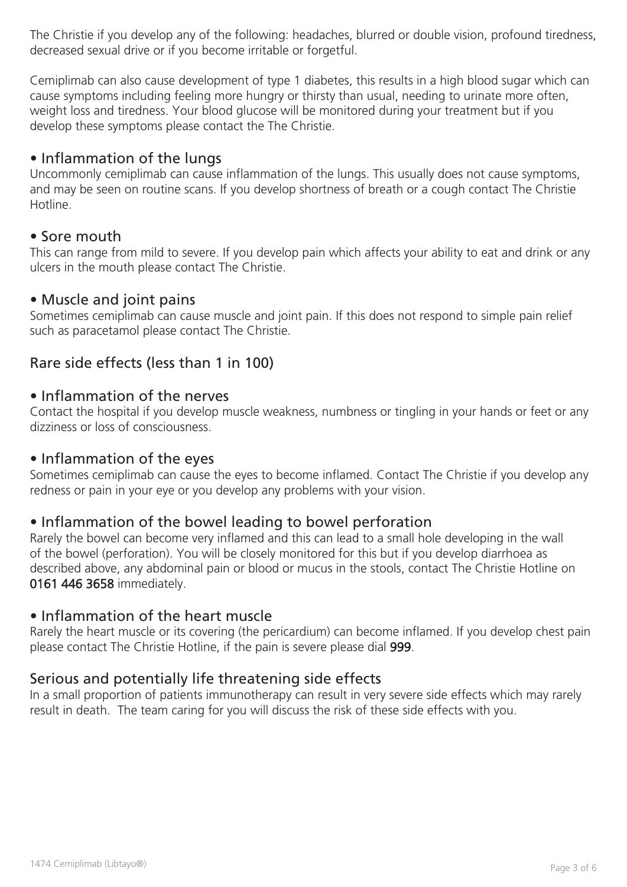The Christie if you develop any of the following: headaches, blurred or double vision, profound tiredness, decreased sexual drive or if you become irritable or forgetful.

Cemiplimab can also cause development of type 1 diabetes, this results in a high blood sugar which can cause symptoms including feeling more hungry or thirsty than usual, needing to urinate more often, weight loss and tiredness. Your blood glucose will be monitored during your treatment but if you develop these symptoms please contact the The Christie.

#### • Inflammation of the lungs

Uncommonly cemiplimab can cause inflammation of the lungs. This usually does not cause symptoms, and may be seen on routine scans. If you develop shortness of breath or a cough contact The Christie Hotline.

#### • Sore mouth

This can range from mild to severe. If you develop pain which affects your ability to eat and drink or any ulcers in the mouth please contact The Christie.

#### • Muscle and joint pains

Sometimes cemiplimab can cause muscle and joint pain. If this does not respond to simple pain relief such as paracetamol please contact The Christie.

## Rare side effects (less than 1 in 100)

#### • Inflammation of the nerves

Contact the hospital if you develop muscle weakness, numbness or tingling in your hands or feet or any dizziness or loss of consciousness.

#### • Inflammation of the eyes

Sometimes cemiplimab can cause the eyes to become inflamed. Contact The Christie if you develop any redness or pain in your eye or you develop any problems with your vision.

#### • Inflammation of the bowel leading to bowel perforation

Rarely the bowel can become very inflamed and this can lead to a small hole developing in the wall of the bowel (perforation). You will be closely monitored for this but if you develop diarrhoea as described above, any abdominal pain or blood or mucus in the stools, contact The Christie Hotline on 0161 446 3658 immediately.

#### • Inflammation of the heart muscle

Rarely the heart muscle or its covering (the pericardium) can become inflamed. If you develop chest pain please contact The Christie Hotline, if the pain is severe please dial 999.

#### Serious and potentially life threatening side effects

In a small proportion of patients immunotherapy can result in very severe side effects which may rarely result in death. The team caring for you will discuss the risk of these side effects with you.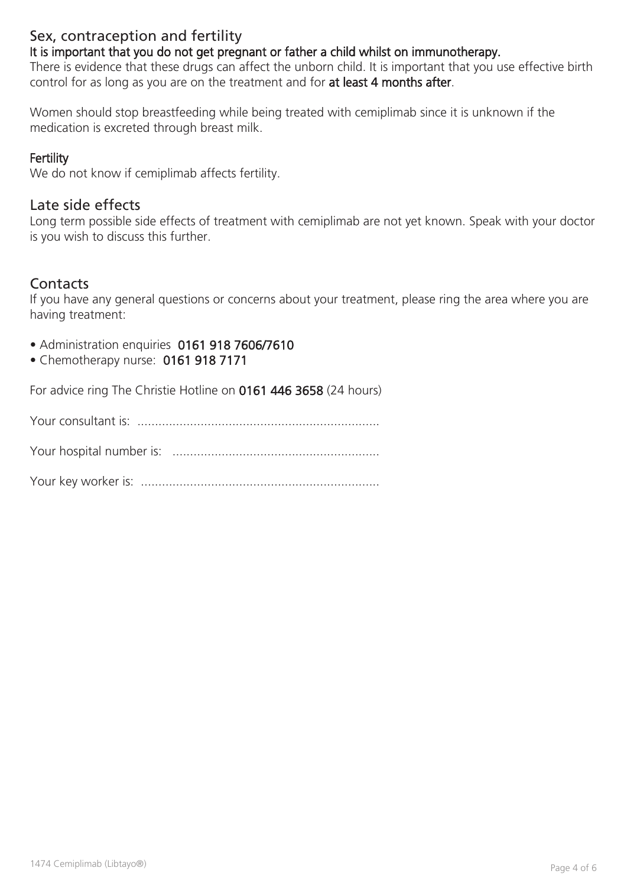## Sex, contraception and fertility

It is important that you do not get pregnant or father a child whilst on immunotherapy.

There is evidence that these drugs can affect the unborn child. It is important that you use effective birth control for as long as you are on the treatment and for at least 4 months after.

Women should stop breastfeeding while being treated with cemiplimab since it is unknown if the medication is excreted through breast milk.

#### **Fertility**

We do not know if cemiplimab affects fertility.

#### Late side effects

Long term possible side effects of treatment with cemiplimab are not yet known. Speak with your doctor is you wish to discuss this further.

## **Contacts**

If you have any general questions or concerns about your treatment, please ring the area where you are having treatment:

- Administration enquiries 0161 918 7606/7610
- Chemotherapy nurse: 0161 918 7171

For advice ring The Christie Hotline on 0161 446 3658 (24 hours)

Your consultant is: .....................................................................

Your hospital number is: ...........................................................

Your key worker is: ....................................................................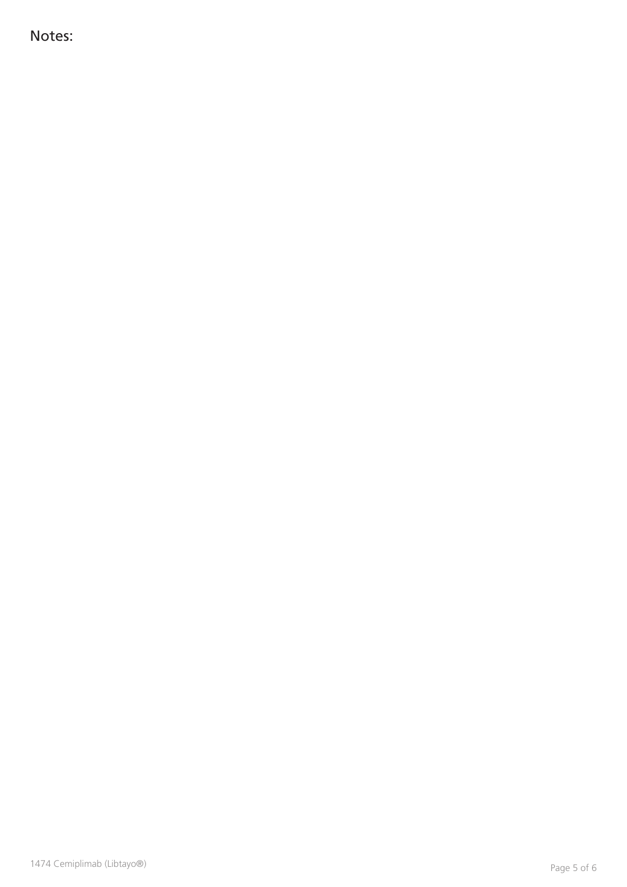Notes: